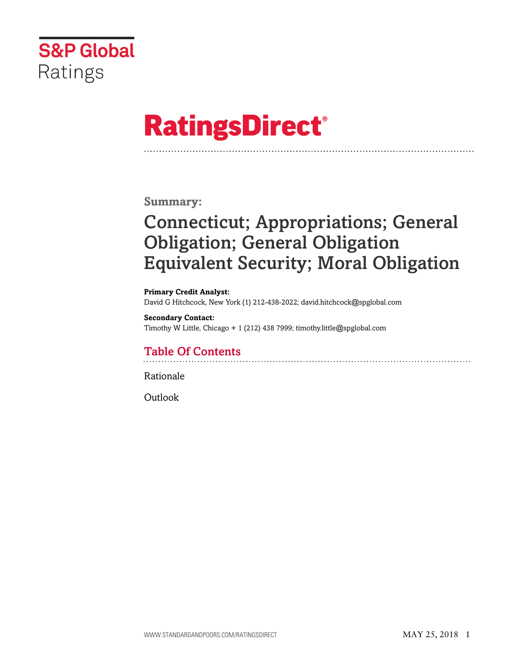

# **RatingsDirect®**

**Summary:**

# Connecticut; Appropriations; General Obligation; General Obligation Equivalent Security; Moral Obligation

**Primary Credit Analyst:** David G Hitchcock, New York (1) 212-438-2022; david.hitchcock@spglobal.com

**Secondary Contact:** Timothy W Little, Chicago + 1 (212) 438 7999; timothy.little@spglobal.com

# Table Of Contents

[Rationale](#page-1-0)

[Outlook](#page-5-0)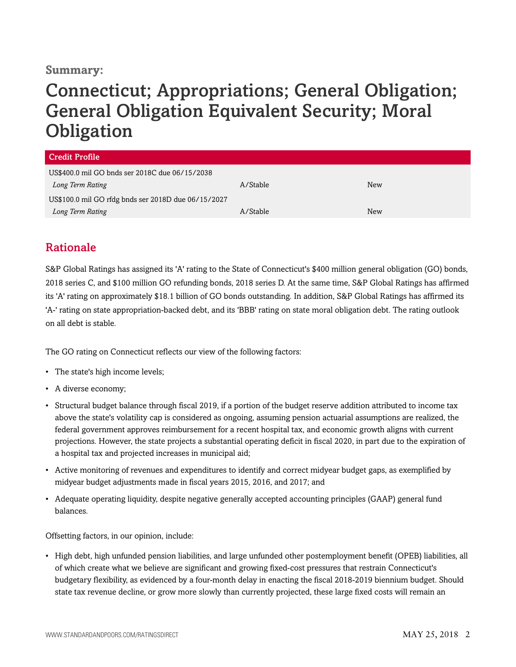### **Summary:**

# Connecticut; Appropriations; General Obligation; General Obligation Equivalent Security; Moral **Obligation**

| <b>Credit Profile</b>                               |          |     |
|-----------------------------------------------------|----------|-----|
| US\$400.0 mil GO bnds ser 2018C due 06/15/2038      |          |     |
| Long Term Rating                                    | A/Stable | New |
| US\$100.0 mil GO rfdg bnds ser 2018D due 06/15/2027 |          |     |
| Long Term Rating                                    | A/Stable | New |

## <span id="page-1-0"></span>Rationale

S&P Global Ratings has assigned its 'A' rating to the State of Connecticut's \$400 million general obligation (GO) bonds, 2018 series C, and \$100 million GO refunding bonds, 2018 series D. At the same time, S&P Global Ratings has affirmed its 'A' rating on approximately \$18.1 billion of GO bonds outstanding. In addition, S&P Global Ratings has affirmed its 'A-' rating on state appropriation-backed debt, and its 'BBB' rating on state moral obligation debt. The rating outlook on all debt is stable.

The GO rating on Connecticut reflects our view of the following factors:

- The state's high income levels;
- A diverse economy;
- Structural budget balance through fiscal 2019, if a portion of the budget reserve addition attributed to income tax above the state's volatility cap is considered as ongoing, assuming pension actuarial assumptions are realized, the federal government approves reimbursement for a recent hospital tax, and economic growth aligns with current projections. However, the state projects a substantial operating deficit in fiscal 2020, in part due to the expiration of a hospital tax and projected increases in municipal aid;
- Active monitoring of revenues and expenditures to identify and correct midyear budget gaps, as exemplified by midyear budget adjustments made in fiscal years 2015, 2016, and 2017; and
- Adequate operating liquidity, despite negative generally accepted accounting principles (GAAP) general fund balances.

Offsetting factors, in our opinion, include:

• High debt, high unfunded pension liabilities, and large unfunded other postemployment benefit (OPEB) liabilities, all of which create what we believe are significant and growing fixed-cost pressures that restrain Connecticut's budgetary flexibility, as evidenced by a four-month delay in enacting the fiscal 2018-2019 biennium budget. Should state tax revenue decline, or grow more slowly than currently projected, these large fixed costs will remain an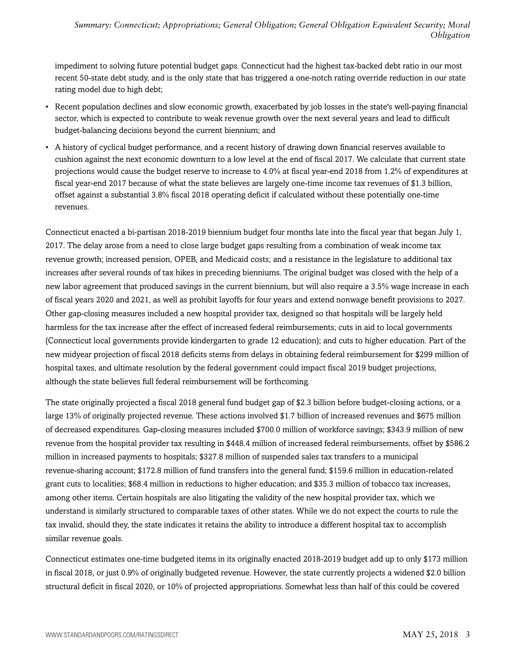impediment to solving future potential budget gaps. Connecticut had the highest tax-backed debt ratio in our most recent 50-state debt study, and is the only state that has triggered a one-notch rating override reduction in our state rating model due to high debt;

- Recent population declines and slow economic growth, exacerbated by job losses in the state's well-paying financial sector, which is expected to contribute to weak revenue growth over the next several years and lead to difficult budget-balancing decisions beyond the current biennium; and
- A history of cyclical budget performance, and a recent history of drawing down financial reserves available to cushion against the next economic downturn to a low level at the end of fiscal 2017. We calculate that current state projections would cause the budget reserve to increase to 4.0% at fiscal year-end 2018 from 1.2% of expenditures at fiscal year-end 2017 because of what the state believes are largely one-time income tax revenues of \$1.3 billion, offset against a substantial 3.8% fiscal 2018 operating deficit if calculated without these potentially one-time revenues.

Connecticut enacted a bi-partisan 2018-2019 biennium budget four months late into the fiscal year that began July 1, 2017. The delay arose from a need to close large budget gaps resulting from a combination of weak income tax revenue growth; increased pension, OPEB, and Medicaid costs; and a resistance in the legislature to additional tax increases after several rounds of tax hikes in preceding bienniums. The original budget was closed with the help of a new labor agreement that produced savings in the current biennium, but will also require a 3.5% wage increase in each of fiscal years 2020 and 2021, as well as prohibit layoffs for four years and extend nonwage benefit provisions to 2027. Other gap-closing measures included a new hospital provider tax, designed so that hospitals will be largely held harmless for the tax increase after the effect of increased federal reimbursements; cuts in aid to local governments (Connecticut local governments provide kindergarten to grade 12 education); and cuts to higher education. Part of the new midyear projection of fiscal 2018 deficits stems from delays in obtaining federal reimbursement for \$299 million of hospital taxes, and ultimate resolution by the federal government could impact fiscal 2019 budget projections, although the state believes full federal reimbursement will be forthcoming.

The state originally projected a fiscal 2018 general fund budget gap of \$2.3 billion before budget-closing actions, or a large 13% of originally projected revenue. These actions involved \$1.7 billion of increased revenues and \$675 million of decreased expenditures. Gap-closing measures included \$700.0 million of workforce savings; \$343.9 million of new revenue from the hospital provider tax resulting in \$448.4 million of increased federal reimbursements, offset by \$586.2 million in increased payments to hospitals; \$327.8 million of suspended sales tax transfers to a municipal revenue-sharing account; \$172.8 million of fund transfers into the general fund; \$159.6 million in education-related grant cuts to localities; \$68.4 million in reductions to higher education; and \$35.3 million of tobacco tax increases, among other items. Certain hospitals are also litigating the validity of the new hospital provider tax, which we understand is similarly structured to comparable taxes of other states. While we do not expect the courts to rule the tax invalid, should they, the state indicates it retains the ability to introduce a different hospital tax to accomplish similar revenue goals.

Connecticut estimates one-time budgeted items in its originally enacted 2018-2019 budget add up to only \$173 million in fiscal 2018, or just 0.9% of originally budgeted revenue. However, the state currently projects a widened \$2.0 billion structural deficit in fiscal 2020, or 10% of projected appropriations. Somewhat less than half of this could be covered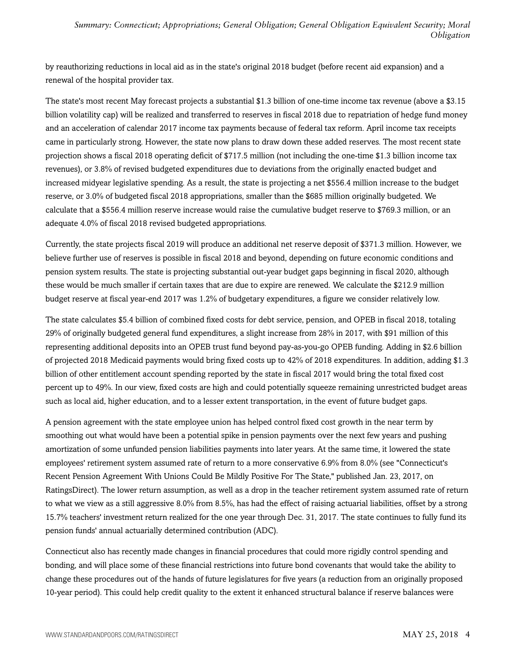by reauthorizing reductions in local aid as in the state's original 2018 budget (before recent aid expansion) and a renewal of the hospital provider tax.

The state's most recent May forecast projects a substantial \$1.3 billion of one-time income tax revenue (above a \$3.15 billion volatility cap) will be realized and transferred to reserves in fiscal 2018 due to repatriation of hedge fund money and an acceleration of calendar 2017 income tax payments because of federal tax reform. April income tax receipts came in particularly strong. However, the state now plans to draw down these added reserves. The most recent state projection shows a fiscal 2018 operating deficit of \$717.5 million (not including the one-time \$1.3 billion income tax revenues), or 3.8% of revised budgeted expenditures due to deviations from the originally enacted budget and increased midyear legislative spending. As a result, the state is projecting a net \$556.4 million increase to the budget reserve, or 3.0% of budgeted fiscal 2018 appropriations, smaller than the \$685 million originally budgeted. We calculate that a \$556.4 million reserve increase would raise the cumulative budget reserve to \$769.3 million, or an adequate 4.0% of fiscal 2018 revised budgeted appropriations.

Currently, the state projects fiscal 2019 will produce an additional net reserve deposit of \$371.3 million. However, we believe further use of reserves is possible in fiscal 2018 and beyond, depending on future economic conditions and pension system results. The state is projecting substantial out-year budget gaps beginning in fiscal 2020, although these would be much smaller if certain taxes that are due to expire are renewed. We calculate the \$212.9 million budget reserve at fiscal year-end 2017 was 1.2% of budgetary expenditures, a figure we consider relatively low.

The state calculates \$5.4 billion of combined fixed costs for debt service, pension, and OPEB in fiscal 2018, totaling 29% of originally budgeted general fund expenditures, a slight increase from 28% in 2017, with \$91 million of this representing additional deposits into an OPEB trust fund beyond pay-as-you-go OPEB funding. Adding in \$2.6 billion of projected 2018 Medicaid payments would bring fixed costs up to 42% of 2018 expenditures. In addition, adding \$1.3 billion of other entitlement account spending reported by the state in fiscal 2017 would bring the total fixed cost percent up to 49%. In our view, fixed costs are high and could potentially squeeze remaining unrestricted budget areas such as local aid, higher education, and to a lesser extent transportation, in the event of future budget gaps.

A pension agreement with the state employee union has helped control fixed cost growth in the near term by smoothing out what would have been a potential spike in pension payments over the next few years and pushing amortization of some unfunded pension liabilities payments into later years. At the same time, it lowered the state employees' retirement system assumed rate of return to a more conservative 6.9% from 8.0% (see "Connecticut's Recent Pension Agreement With Unions Could Be Mildly Positive For The State," published Jan. 23, 2017, on RatingsDirect). The lower return assumption, as well as a drop in the teacher retirement system assumed rate of return to what we view as a still aggressive 8.0% from 8.5%, has had the effect of raising actuarial liabilities, offset by a strong 15.7% teachers' investment return realized for the one year through Dec. 31, 2017. The state continues to fully fund its pension funds' annual actuarially determined contribution (ADC).

Connecticut also has recently made changes in financial procedures that could more rigidly control spending and bonding, and will place some of these financial restrictions into future bond covenants that would take the ability to change these procedures out of the hands of future legislatures for five years (a reduction from an originally proposed 10-year period). This could help credit quality to the extent it enhanced structural balance if reserve balances were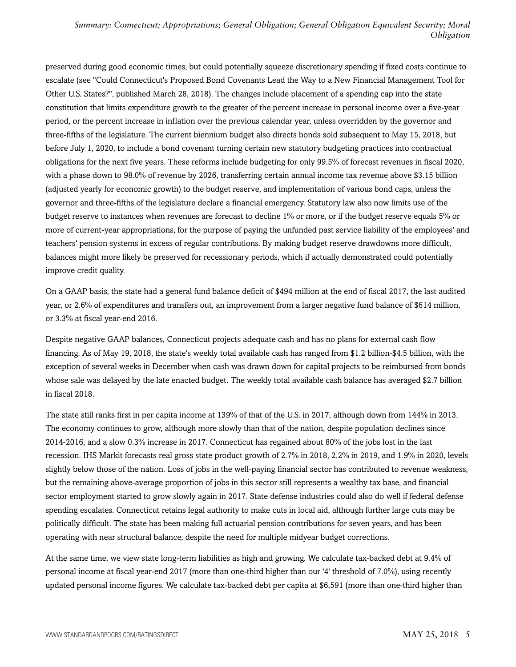preserved during good economic times, but could potentially squeeze discretionary spending if fixed costs continue to escalate (see "Could Connecticut's Proposed Bond Covenants Lead the Way to a New Financial Management Tool for Other U.S. States?", published March 28, 2018). The changes include placement of a spending cap into the state constitution that limits expenditure growth to the greater of the percent increase in personal income over a five-year period, or the percent increase in inflation over the previous calendar year, unless overridden by the governor and three-fifths of the legislature. The current biennium budget also directs bonds sold subsequent to May 15, 2018, but before July 1, 2020, to include a bond covenant turning certain new statutory budgeting practices into contractual obligations for the next five years. These reforms include budgeting for only 99.5% of forecast revenues in fiscal 2020, with a phase down to 98.0% of revenue by 2026, transferring certain annual income tax revenue above \$3.15 billion (adjusted yearly for economic growth) to the budget reserve, and implementation of various bond caps, unless the governor and three-fifths of the legislature declare a financial emergency. Statutory law also now limits use of the budget reserve to instances when revenues are forecast to decline 1% or more, or if the budget reserve equals 5% or more of current-year appropriations, for the purpose of paying the unfunded past service liability of the employees' and teachers' pension systems in excess of regular contributions. By making budget reserve drawdowns more difficult, balances might more likely be preserved for recessionary periods, which if actually demonstrated could potentially improve credit quality.

On a GAAP basis, the state had a general fund balance deficit of \$494 million at the end of fiscal 2017, the last audited year, or 2.6% of expenditures and transfers out, an improvement from a larger negative fund balance of \$614 million, or 3.3% at fiscal year-end 2016.

Despite negative GAAP balances, Connecticut projects adequate cash and has no plans for external cash flow financing. As of May 19, 2018, the state's weekly total available cash has ranged from \$1.2 billion-\$4.5 billion, with the exception of several weeks in December when cash was drawn down for capital projects to be reimbursed from bonds whose sale was delayed by the late enacted budget. The weekly total available cash balance has averaged \$2.7 billion in fiscal 2018.

The state still ranks first in per capita income at 139% of that of the U.S. in 2017, although down from 144% in 2013. The economy continues to grow, although more slowly than that of the nation, despite population declines since 2014-2016, and a slow 0.3% increase in 2017. Connecticut has regained about 80% of the jobs lost in the last recession. IHS Markit forecasts real gross state product growth of 2.7% in 2018, 2.2% in 2019, and 1.9% in 2020, levels slightly below those of the nation. Loss of jobs in the well-paying financial sector has contributed to revenue weakness, but the remaining above-average proportion of jobs in this sector still represents a wealthy tax base, and financial sector employment started to grow slowly again in 2017. State defense industries could also do well if federal defense spending escalates. Connecticut retains legal authority to make cuts in local aid, although further large cuts may be politically difficult. The state has been making full actuarial pension contributions for seven years, and has been operating with near structural balance, despite the need for multiple midyear budget corrections.

At the same time, we view state long-term liabilities as high and growing. We calculate tax-backed debt at 9.4% of personal income at fiscal year-end 2017 (more than one-third higher than our '4' threshold of 7.0%), using recently updated personal income figures. We calculate tax-backed debt per capita at \$6,591 (more than one-third higher than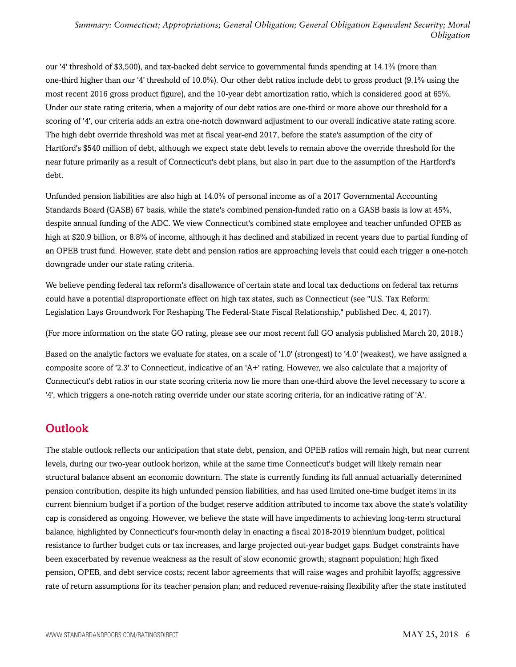our '4' threshold of \$3,500), and tax-backed debt service to governmental funds spending at 14.1% (more than one-third higher than our '4' threshold of 10.0%). Our other debt ratios include debt to gross product (9.1% using the most recent 2016 gross product figure), and the 10-year debt amortization ratio, which is considered good at 65%. Under our state rating criteria, when a majority of our debt ratios are one-third or more above our threshold for a scoring of '4', our criteria adds an extra one-notch downward adjustment to our overall indicative state rating score. The high debt override threshold was met at fiscal year-end 2017, before the state's assumption of the city of Hartford's \$540 million of debt, although we expect state debt levels to remain above the override threshold for the near future primarily as a result of Connecticut's debt plans, but also in part due to the assumption of the Hartford's debt.

Unfunded pension liabilities are also high at 14.0% of personal income as of a 2017 Governmental Accounting Standards Board (GASB) 67 basis, while the state's combined pension-funded ratio on a GASB basis is low at 45%, despite annual funding of the ADC. We view Connecticut's combined state employee and teacher unfunded OPEB as high at \$20.9 billion, or 8.8% of income, although it has declined and stabilized in recent years due to partial funding of an OPEB trust fund. However, state debt and pension ratios are approaching levels that could each trigger a one-notch downgrade under our state rating criteria.

We believe pending federal tax reform's disallowance of certain state and local tax deductions on federal tax returns could have a potential disproportionate effect on high tax states, such as Connecticut (see "U.S. Tax Reform: Legislation Lays Groundwork For Reshaping The Federal-State Fiscal Relationship," published Dec. 4, 2017).

(For more information on the state GO rating, please see our most recent full GO analysis published March 20, 2018.)

Based on the analytic factors we evaluate for states, on a scale of '1.0' (strongest) to '4.0' (weakest), we have assigned a composite score of '2.3' to Connecticut, indicative of an 'A+' rating. However, we also calculate that a majority of Connecticut's debt ratios in our state scoring criteria now lie more than one-third above the level necessary to score a '4', which triggers a one-notch rating override under our state scoring criteria, for an indicative rating of 'A'.

## <span id="page-5-0"></span>**Outlook**

The stable outlook reflects our anticipation that state debt, pension, and OPEB ratios will remain high, but near current levels, during our two-year outlook horizon, while at the same time Connecticut's budget will likely remain near structural balance absent an economic downturn. The state is currently funding its full annual actuarially determined pension contribution, despite its high unfunded pension liabilities, and has used limited one-time budget items in its current biennium budget if a portion of the budget reserve addition attributed to income tax above the state's volatility cap is considered as ongoing. However, we believe the state will have impediments to achieving long-term structural balance, highlighted by Connecticut's four-month delay in enacting a fiscal 2018-2019 biennium budget, political resistance to further budget cuts or tax increases, and large projected out-year budget gaps. Budget constraints have been exacerbated by revenue weakness as the result of slow economic growth; stagnant population; high fixed pension, OPEB, and debt service costs; recent labor agreements that will raise wages and prohibit layoffs; aggressive rate of return assumptions for its teacher pension plan; and reduced revenue-raising flexibility after the state instituted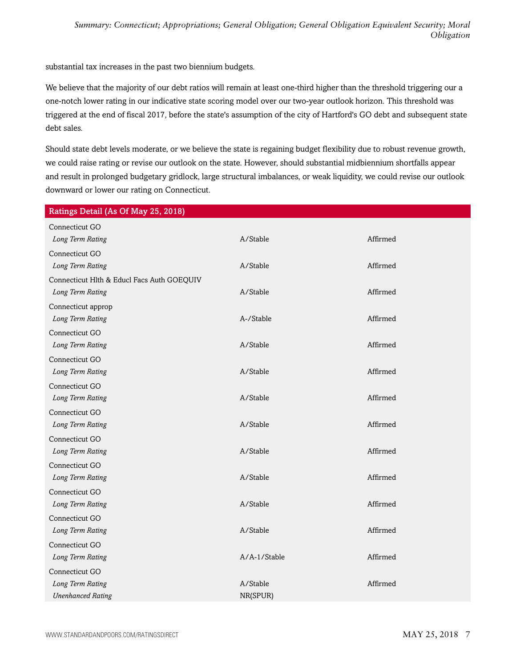substantial tax increases in the past two biennium budgets.

We believe that the majority of our debt ratios will remain at least one-third higher than the threshold triggering our a one-notch lower rating in our indicative state scoring model over our two-year outlook horizon. This threshold was triggered at the end of fiscal 2017, before the state's assumption of the city of Hartford's GO debt and subsequent state debt sales.

Should state debt levels moderate, or we believe the state is regaining budget flexibility due to robust revenue growth, we could raise rating or revise our outlook on the state. However, should substantial midbiennium shortfalls appear and result in prolonged budgetary gridlock, large structural imbalances, or weak liquidity, we could revise our outlook downward or lower our rating on Connecticut.

| Ratings Detail (As Of May 25, 2018)          |                      |          |
|----------------------------------------------|----------------------|----------|
| Connecticut GO                               |                      |          |
| Long Term Rating                             | A/Stable             | Affirmed |
| Connecticut GO                               |                      |          |
| Long Term Rating                             | A/Stable             | Affirmed |
| Connecticut Hlth & Educl Facs Auth GOEQUIV   |                      |          |
| Long Term Rating                             | A/Stable             | Affirmed |
| Connecticut approp                           |                      |          |
| Long Term Rating                             | A-/Stable            | Affirmed |
| Connecticut GO                               |                      |          |
| Long Term Rating                             | A/Stable             | Affirmed |
| Connecticut GO                               |                      |          |
| Long Term Rating                             | A/Stable             | Affirmed |
| Connecticut GO                               |                      |          |
| Long Term Rating                             | A/Stable             | Affirmed |
| Connecticut GO                               |                      |          |
| Long Term Rating                             | A/Stable             | Affirmed |
| Connecticut GO                               |                      |          |
| Long Term Rating                             | A/Stable             | Affirmed |
| Connecticut GO                               |                      |          |
| Long Term Rating                             | A/Stable             | Affirmed |
| Connecticut GO                               |                      |          |
| Long Term Rating                             | A/Stable             | Affirmed |
| Connecticut GO                               |                      |          |
| Long Term Rating                             | A/Stable             | Affirmed |
| Connecticut GO                               |                      |          |
| Long Term Rating                             | A/A-1/Stable         | Affirmed |
| Connecticut GO                               |                      |          |
| Long Term Rating<br><b>Unenhanced Rating</b> | A/Stable<br>NR(SPUR) | Affirmed |
|                                              |                      |          |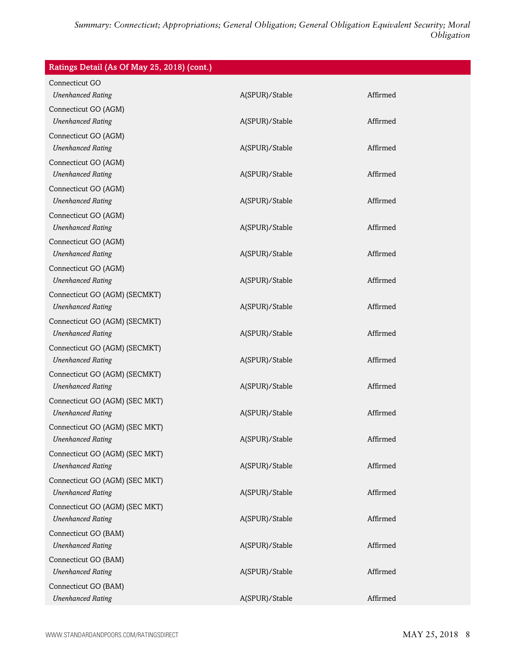| Ratings Detail (As Of May 25, 2018) (cont.) |                |          |
|---------------------------------------------|----------------|----------|
| Connecticut GO                              |                |          |
| <b>Unenhanced Rating</b>                    | A(SPUR)/Stable | Affirmed |
| Connecticut GO (AGM)                        |                |          |
| <b>Unenhanced Rating</b>                    | A(SPUR)/Stable | Affirmed |
| Connecticut GO (AGM)                        |                |          |
| <b>Unenhanced Rating</b>                    | A(SPUR)/Stable | Affirmed |
| Connecticut GO (AGM)                        |                |          |
| <b>Unenhanced Rating</b>                    | A(SPUR)/Stable | Affirmed |
| Connecticut GO (AGM)                        |                |          |
| <b>Unenhanced Rating</b>                    | A(SPUR)/Stable | Affirmed |
| Connecticut GO (AGM)                        |                |          |
| <b>Unenhanced Rating</b>                    | A(SPUR)/Stable | Affirmed |
| Connecticut GO (AGM)                        |                |          |
| <b>Unenhanced Rating</b>                    | A(SPUR)/Stable | Affirmed |
| Connecticut GO (AGM)                        |                |          |
| <b>Unenhanced Rating</b>                    | A(SPUR)/Stable | Affirmed |
| Connecticut GO (AGM) (SECMKT)               |                |          |
| <b>Unenhanced Rating</b>                    | A(SPUR)/Stable | Affirmed |
| Connecticut GO (AGM) (SECMKT)               |                |          |
| <b>Unenhanced Rating</b>                    | A(SPUR)/Stable | Affirmed |
| Connecticut GO (AGM) (SECMKT)               |                |          |
| <b>Unenhanced Rating</b>                    | A(SPUR)/Stable | Affirmed |
| Connecticut GO (AGM) (SECMKT)               |                |          |
| <b>Unenhanced Rating</b>                    | A(SPUR)/Stable | Affirmed |
| Connecticut GO (AGM) (SEC MKT)              |                |          |
| <b>Unenhanced Rating</b>                    | A(SPUR)/Stable | Affirmed |
| Connecticut GO (AGM) (SEC MKT)              |                |          |
| <b>Unenhanced Rating</b>                    | A(SPUR)/Stable | Affirmed |
| Connecticut GO (AGM) (SEC MKT)              |                |          |
| <b>Unenhanced Rating</b>                    | A(SPUR)/Stable | Affirmed |
| Connecticut GO (AGM) (SEC MKT)              |                |          |
| <b>Unenhanced Rating</b>                    | A(SPUR)/Stable | Affirmed |
| Connecticut GO (AGM) (SEC MKT)              |                |          |
| <b>Unenhanced Rating</b>                    | A(SPUR)/Stable | Affirmed |
| Connecticut GO (BAM)                        |                |          |
| <b>Unenhanced Rating</b>                    | A(SPUR)/Stable | Affirmed |
| Connecticut GO (BAM)                        |                |          |
| <b>Unenhanced Rating</b>                    | A(SPUR)/Stable | Affirmed |
| Connecticut GO (BAM)                        |                |          |
| <b>Unenhanced Rating</b>                    | A(SPUR)/Stable | Affirmed |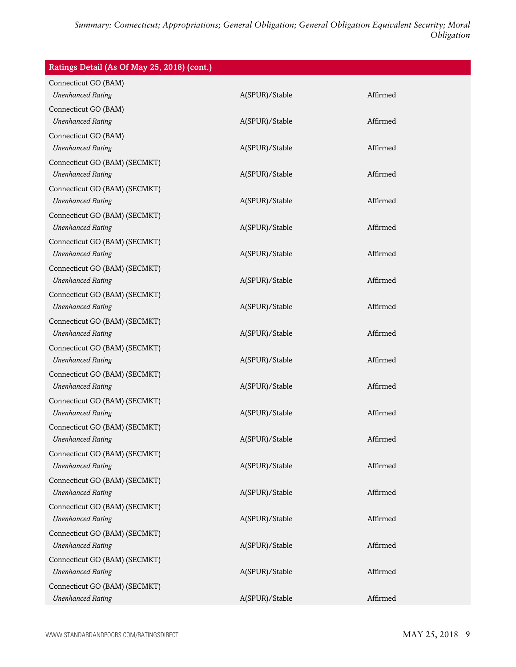| Ratings Detail (As Of May 25, 2018) (cont.)               |                |          |
|-----------------------------------------------------------|----------------|----------|
| Connecticut GO (BAM)<br><b>Unenhanced Rating</b>          | A(SPUR)/Stable | Affirmed |
| Connecticut GO (BAM)                                      |                |          |
| <b>Unenhanced Rating</b>                                  | A(SPUR)/Stable | Affirmed |
| Connecticut GO (BAM)                                      |                |          |
| <b>Unenhanced Rating</b>                                  | A(SPUR)/Stable | Affirmed |
| Connecticut GO (BAM) (SECMKT)                             |                |          |
| <b>Unenhanced Rating</b>                                  | A(SPUR)/Stable | Affirmed |
| Connecticut GO (BAM) (SECMKT)                             |                |          |
| <b>Unenhanced Rating</b>                                  | A(SPUR)/Stable | Affirmed |
| Connecticut GO (BAM) (SECMKT)                             |                |          |
| <b>Unenhanced Rating</b>                                  | A(SPUR)/Stable | Affirmed |
| Connecticut GO (BAM) (SECMKT)                             | A(SPUR)/Stable | Affirmed |
| <b>Unenhanced Rating</b>                                  |                |          |
| Connecticut GO (BAM) (SECMKT)<br><b>Unenhanced Rating</b> | A(SPUR)/Stable | Affirmed |
| Connecticut GO (BAM) (SECMKT)                             |                |          |
| <b>Unenhanced Rating</b>                                  | A(SPUR)/Stable | Affirmed |
| Connecticut GO (BAM) (SECMKT)                             |                |          |
| <b>Unenhanced Rating</b>                                  | A(SPUR)/Stable | Affirmed |
| Connecticut GO (BAM) (SECMKT)                             |                |          |
| <b>Unenhanced Rating</b>                                  | A(SPUR)/Stable | Affirmed |
| Connecticut GO (BAM) (SECMKT)                             |                |          |
| <b>Unenhanced Rating</b>                                  | A(SPUR)/Stable | Affirmed |
| Connecticut GO (BAM) (SECMKT)                             |                |          |
| <b>Unenhanced Rating</b>                                  | A(SPUR)/Stable | Affirmed |
| Connecticut GO (BAM) (SECMKT)                             |                |          |
| <b>Unenhanced Rating</b>                                  | A(SPUR)/Stable | Affirmed |
| Connecticut GO (BAM) (SECMKT)                             |                |          |
| <b>Unenhanced Rating</b>                                  | A(SPUR)/Stable | Affirmed |
| Connecticut GO (BAM) (SECMKT)                             |                |          |
| <b>Unenhanced Rating</b>                                  | A(SPUR)/Stable | Affirmed |
| Connecticut GO (BAM) (SECMKT)                             |                |          |
| <b>Unenhanced Rating</b>                                  | A(SPUR)/Stable | Affirmed |
| Connecticut GO (BAM) (SECMKT)<br><b>Unenhanced Rating</b> | A(SPUR)/Stable | Affirmed |
| Connecticut GO (BAM) (SECMKT)                             |                |          |
| <b>Unenhanced Rating</b>                                  | A(SPUR)/Stable | Affirmed |
| Connecticut GO (BAM) (SECMKT)                             |                |          |
| <b>Unenhanced Rating</b>                                  | A(SPUR)/Stable | Affirmed |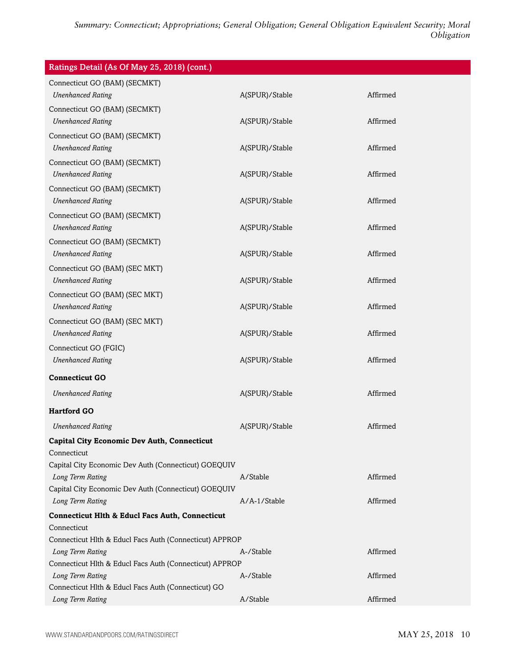| Ratings Detail (As Of May 25, 2018) (cont.)                               |                |          |
|---------------------------------------------------------------------------|----------------|----------|
| Connecticut GO (BAM) (SECMKT)                                             |                |          |
| <b>Unenhanced Rating</b>                                                  | A(SPUR)/Stable | Affirmed |
| Connecticut GO (BAM) (SECMKT)                                             |                |          |
| <b>Unenhanced Rating</b>                                                  | A(SPUR)/Stable | Affirmed |
| Connecticut GO (BAM) (SECMKT)                                             |                |          |
| <b>Unenhanced Rating</b>                                                  | A(SPUR)/Stable | Affirmed |
| Connecticut GO (BAM) (SECMKT)                                             |                |          |
| <b>Unenhanced Rating</b>                                                  | A(SPUR)/Stable | Affirmed |
| Connecticut GO (BAM) (SECMKT)                                             |                |          |
| <b>Unenhanced Rating</b>                                                  | A(SPUR)/Stable | Affirmed |
| Connecticut GO (BAM) (SECMKT)                                             |                |          |
| <b>Unenhanced Rating</b>                                                  | A(SPUR)/Stable | Affirmed |
| Connecticut GO (BAM) (SECMKT)                                             |                |          |
| <b>Unenhanced Rating</b>                                                  | A(SPUR)/Stable | Affirmed |
| Connecticut GO (BAM) (SEC MKT)                                            |                |          |
| <b>Unenhanced Rating</b>                                                  | A(SPUR)/Stable | Affirmed |
| Connecticut GO (BAM) (SEC MKT)                                            |                |          |
| <b>Unenhanced Rating</b>                                                  | A(SPUR)/Stable | Affirmed |
| Connecticut GO (BAM) (SEC MKT)                                            |                | Affirmed |
| <b>Unenhanced Rating</b>                                                  | A(SPUR)/Stable |          |
| Connecticut GO (FGIC)<br><b>Unenhanced Rating</b>                         | A(SPUR)/Stable | Affirmed |
|                                                                           |                |          |
| <b>Connecticut GO</b>                                                     |                |          |
| <b>Unenhanced Rating</b>                                                  | A(SPUR)/Stable | Affirmed |
| <b>Hartford GO</b>                                                        |                |          |
| <b>Unenhanced Rating</b>                                                  | A(SPUR)/Stable | Affirmed |
| <b>Capital City Economic Dev Auth, Connecticut</b>                        |                |          |
| Connecticut                                                               |                |          |
| Capital City Economic Dev Auth (Connecticut) GOEQUIV                      |                |          |
| Long Term Rating                                                          | A/Stable       | Affirmed |
| Capital City Economic Dev Auth (Connecticut) GOEQUIV                      | A/A-1/Stable   |          |
| Long Term Rating                                                          |                | Affirmed |
| <b>Connecticut Hlth &amp; Educl Facs Auth, Connecticut</b><br>Connecticut |                |          |
| Connecticut Hlth & Educl Facs Auth (Connecticut) APPROP                   |                |          |
| Long Term Rating                                                          | A-/Stable      | Affirmed |
| Connecticut Hlth & Educl Facs Auth (Connecticut) APPROP                   |                |          |
| Long Term Rating                                                          | A-/Stable      | Affirmed |
| Connecticut Hlth & Educl Facs Auth (Connecticut) GO                       |                |          |
| Long Term Rating                                                          | A/Stable       | Affirmed |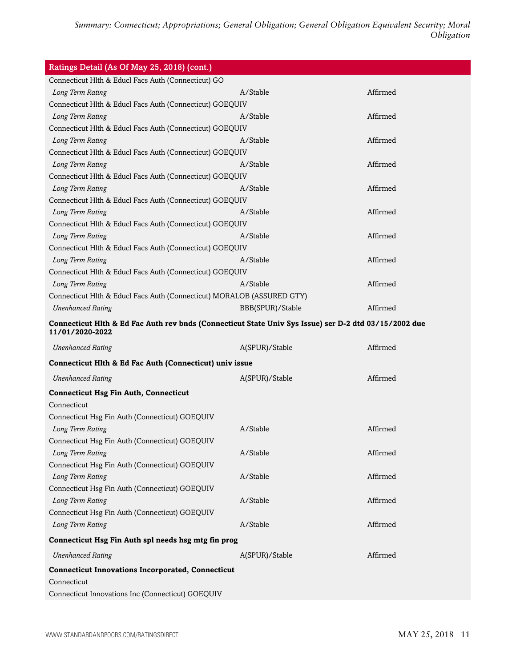| Ratings Detail (As Of May 25, 2018) (cont.)                                                                              |                  |          |
|--------------------------------------------------------------------------------------------------------------------------|------------------|----------|
| Connecticut Hlth & Educl Facs Auth (Connecticut) GO                                                                      |                  |          |
| Long Term Rating                                                                                                         | A/Stable         | Affirmed |
| Connecticut Hlth & Educl Facs Auth (Connecticut) GOEQUIV                                                                 |                  |          |
| Long Term Rating                                                                                                         | A/Stable         | Affirmed |
| Connecticut Hlth & Educl Facs Auth (Connecticut) GOEQUIV                                                                 |                  |          |
| Long Term Rating                                                                                                         | A/Stable         | Affirmed |
| Connecticut Hlth & Educl Facs Auth (Connecticut) GOEQUIV                                                                 |                  |          |
| Long Term Rating                                                                                                         | A/Stable         | Affirmed |
| Connecticut Hlth & Educl Facs Auth (Connecticut) GOEQUIV                                                                 |                  |          |
| Long Term Rating                                                                                                         | A/Stable         | Affirmed |
| Connecticut Hlth & Educl Facs Auth (Connecticut) GOEQUIV                                                                 |                  |          |
| Long Term Rating                                                                                                         | A/Stable         | Affirmed |
| Connecticut Hlth & Educl Facs Auth (Connecticut) GOEQUIV                                                                 |                  |          |
| Long Term Rating                                                                                                         | A/Stable         | Affirmed |
| Connecticut Hlth & Educl Facs Auth (Connecticut) GOEQUIV                                                                 |                  |          |
| Long Term Rating                                                                                                         | A/Stable         | Affirmed |
| Connecticut Hlth & Educl Facs Auth (Connecticut) GOEQUIV                                                                 |                  |          |
| Long Term Rating                                                                                                         | A/Stable         | Affirmed |
| Connecticut Hlth & Educl Facs Auth (Connecticut) MORALOB (ASSURED GTY)                                                   |                  |          |
| <b>Unenhanced Rating</b>                                                                                                 | BBB(SPUR)/Stable | Affirmed |
| Connecticut Hlth & Ed Fac Auth rev bnds (Connecticut State Univ Sys Issue) ser D-2 dtd 03/15/2002 due<br>11/01/2020-2022 |                  |          |
| <b>Unenhanced Rating</b>                                                                                                 | A(SPUR)/Stable   | Affirmed |
| Connecticut Hlth & Ed Fac Auth (Connecticut) univ issue                                                                  |                  |          |
| <b>Unenhanced Rating</b>                                                                                                 | A(SPUR)/Stable   | Affirmed |
| <b>Connecticut Hsg Fin Auth, Connecticut</b>                                                                             |                  |          |
| Connecticut                                                                                                              |                  |          |
| Connecticut Hsg Fin Auth (Connecticut) GOEQUIV                                                                           |                  |          |
| Long Term Rating                                                                                                         | A/Stable         | Affirmed |
| Connecticut Hsg Fin Auth (Connecticut) GOEQUIV                                                                           |                  |          |
| Long Term Rating                                                                                                         | A/Stable         | Affirmed |
| Connecticut Hsg Fin Auth (Connecticut) GOEQUIV                                                                           |                  |          |
| Long Term Rating                                                                                                         | A/Stable         | Affirmed |
| Connecticut Hsg Fin Auth (Connecticut) GOEQUIV                                                                           |                  |          |
| Long Term Rating                                                                                                         | A/Stable         | Affirmed |
| Connecticut Hsg Fin Auth (Connecticut) GOEQUIV                                                                           |                  |          |
| Long Term Rating                                                                                                         | A/Stable         | Affirmed |
| Connecticut Hsg Fin Auth spl needs hsg mtg fin prog                                                                      |                  |          |
| <b>Unenhanced Rating</b>                                                                                                 | A(SPUR)/Stable   | Affirmed |
| <b>Connecticut Innovations Incorporated, Connecticut</b>                                                                 |                  |          |
| Connecticut                                                                                                              |                  |          |
| Connecticut Innovations Inc (Connecticut) GOEQUIV                                                                        |                  |          |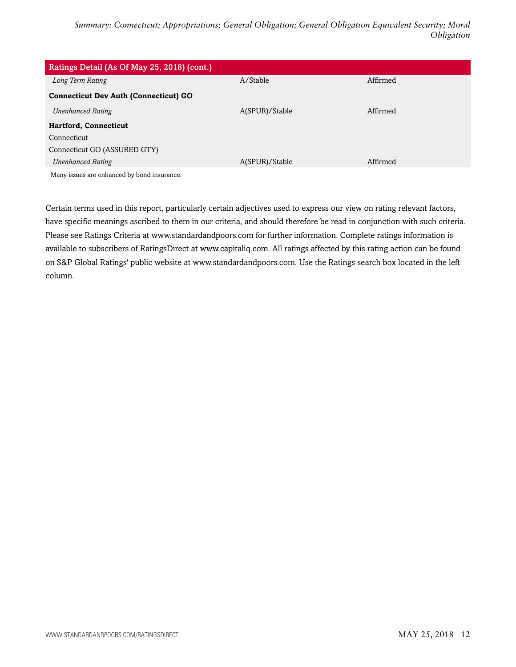| Ratings Detail (As Of May 25, 2018) (cont.)  |                |          |
|----------------------------------------------|----------------|----------|
| Long Term Rating                             | A/Stable       | Affirmed |
| <b>Connecticut Dev Auth (Connecticut) GO</b> |                |          |
| <b>Unenhanced Rating</b>                     | A(SPUR)/Stable | Affirmed |
| <b>Hartford, Connecticut</b>                 |                |          |
| Connecticut                                  |                |          |
| Connecticut GO (ASSURED GTY)                 |                |          |
| <b>Unenhanced Rating</b>                     | A(SPUR)/Stable | Affirmed |
| Montinguog are exhanged by hand incurance    |                |          |

Many issues are enhanced by bond insurance.

Certain terms used in this report, particularly certain adjectives used to express our view on rating relevant factors, have specific meanings ascribed to them in our criteria, and should therefore be read in conjunction with such criteria. Please see Ratings Criteria at www.standardandpoors.com for further information. Complete ratings information is available to subscribers of RatingsDirect at www.capitaliq.com. All ratings affected by this rating action can be found on S&P Global Ratings' public website at www.standardandpoors.com. Use the Ratings search box located in the left column.